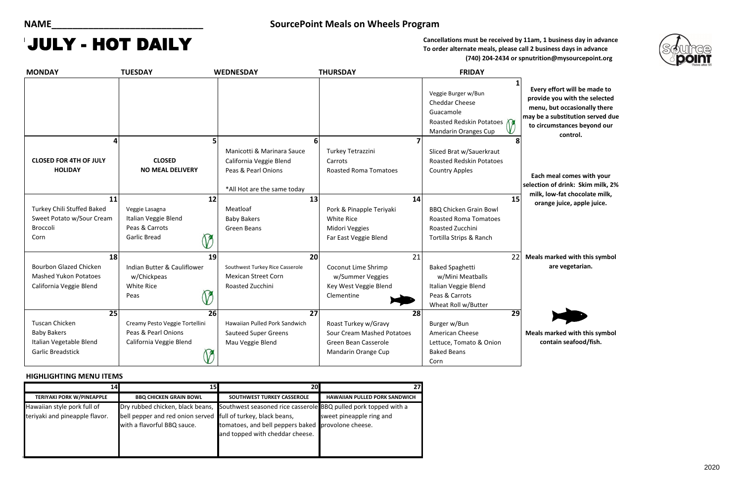### **HIGHLIGHTING MENU ITEMS**

Cancellations must be received by 11am, 1 business day in advance **To order alternate meals, please call 2 business days in advance (740) 204-2434 or spnutrition@mysourcepoint.org**

> **Each meal comes with your selection of drink: Skim milk, 2%**  low-fat chocolate milk, **orange juice, apple juice.**

**Meals marked with this symbol are vegetarian.**

**Meals marked with this symbol contain seafood/fish.**

| 141                              | וכו                                                                                          | 20                                                                                               |                                      |
|----------------------------------|----------------------------------------------------------------------------------------------|--------------------------------------------------------------------------------------------------|--------------------------------------|
| <b>TERIYAKI PORK W/PINEAPPLE</b> | <b>BBQ CHICKEN GRAIN BOWL</b>                                                                | SOUTHWEST TURKEY CASSEROLE                                                                       | <b>HAWAIIAN PULLED PORK SANDWICH</b> |
| Hawaiian style pork full of      |                                                                                              | Dry rubbed chicken, black beans, Southwest seasoned rice casserole BBQ pulled pork topped with a |                                      |
| teriyaki and pineapple flavor.   | bell pepper and red onion served full of turkey, black beans,<br>with a flavorful BBQ sauce. | tomatoes, and bell peppers baked provolone cheese.<br>and topped with cheddar cheese.            | sweet pineapple ring and             |



| <b>MONDAY</b>                                                                            | <b>TUESDAY</b>                                                                                       | <b>WEDNESDAY</b>                                                                  | <b>THURSDAY</b>                                                                   | <b>FRIDAY</b>                                                                                                            |                                                      |
|------------------------------------------------------------------------------------------|------------------------------------------------------------------------------------------------------|-----------------------------------------------------------------------------------|-----------------------------------------------------------------------------------|--------------------------------------------------------------------------------------------------------------------------|------------------------------------------------------|
|                                                                                          |                                                                                                      |                                                                                   |                                                                                   | Veggie Burger w/Bun<br><b>Cheddar Cheese</b><br>Guacamole<br>Roasted Redskin Potatoes<br><b>Mandarin Oranges Cup</b>     | <b>Every</b><br>provid<br>menu,<br>may be<br>to circ |
| Δ                                                                                        | 5                                                                                                    | 6                                                                                 |                                                                                   |                                                                                                                          |                                                      |
| <b>CLOSED FOR 4TH OF JULY</b><br><b>HOLIDAY</b>                                          | <b>CLOSED</b><br><b>NO MEAL DELIVERY</b>                                                             | Manicotti & Marinara Sauce<br>California Veggie Blend<br>Peas & Pearl Onions      | Turkey Tetrazzini<br>Carrots<br><b>Roasted Roma Tomatoes</b>                      | Sliced Brat w/Sauerkraut<br><b>Roasted Redskin Potatoes</b><br><b>Country Apples</b>                                     | Each<br>selection                                    |
|                                                                                          |                                                                                                      | *All Hot are the same today                                                       |                                                                                   |                                                                                                                          | milk,                                                |
| 11<br>Turkey Chili Stuffed Baked<br>Sweet Potato w/Sour Cream<br>Broccoli<br>Corn        | 12<br>Veggie Lasagna<br>Italian Veggie Blend<br>Peas & Carrots<br><b>Garlic Bread</b><br>$\mathbb V$ | 13<br>Meatloaf<br><b>Baby Bakers</b><br>Green Beans                               | Pork & Pinapple Teriyaki<br>White Rice<br>Midori Veggies<br>Far East Veggie Blend | 15<br>14<br><b>BBQ Chicken Grain Bowl</b><br><b>Roasted Roma Tomatoes</b><br>Roasted Zucchini<br>Tortilla Strips & Ranch | orar                                                 |
| 18                                                                                       | 19                                                                                                   | 20                                                                                |                                                                                   | 22<br>21                                                                                                                 | Meals r                                              |
| <b>Bourbon Glazed Chicken</b><br><b>Mashed Yukon Potatoes</b><br>California Veggie Blend | Indian Butter & Cauliflower<br>w/Chickpeas<br><b>White Rice</b><br>$\mathcal V$<br>Peas              | Southwest Turkey Rice Casserole<br><b>Mexican Street Corn</b><br>Roasted Zucchini | Coconut Lime Shrimp<br>w/Summer Veggies<br>Key West Veggie Blend<br>Clementine    | <b>Baked Spaghetti</b><br>w/Mini Meatballs<br>Italian Veggie Blend<br>Peas & Carrots<br>Wheat Roll w/Butter              |                                                      |
| $\overline{25}$                                                                          | $\overline{26}$                                                                                      | $\overline{27}$                                                                   |                                                                                   | $\overline{29}$<br>28                                                                                                    |                                                      |
| <b>Tuscan Chicken</b>                                                                    | Creamy Pesto Veggie Tortellini                                                                       | Hawaiian Pulled Pork Sandwich                                                     | Roast Turkey w/Gravy                                                              | Burger w/Bun                                                                                                             |                                                      |
| <b>Baby Bakers</b>                                                                       | Peas & Pearl Onions                                                                                  | <b>Sauteed Super Greens</b>                                                       | <b>Sour Cream Mashed Potatoes</b>                                                 | American Cheese                                                                                                          | Meals r                                              |
| Italian Vegetable Blend<br><b>Garlic Breadstick</b>                                      | California Veggie Blend                                                                              | Mau Veggie Blend                                                                  | Green Bean Casserole<br>Mandarin Orange Cup                                       | Lettuce, Tomato & Onion<br><b>Baked Beans</b><br>Corn                                                                    | $\mathbf{c}\mathbf{o}$                               |

## **NAME\_\_\_\_\_\_\_\_\_\_\_\_\_\_\_\_\_\_\_\_\_\_\_\_\_\_\_\_\_ SourcePoint Meals on Wheels Program**

## JULY - HOT DAILY

**Every effort will be made to provide you with the selected menu, but occasionally there may be a substitution served due to circumstances beyond our control.**